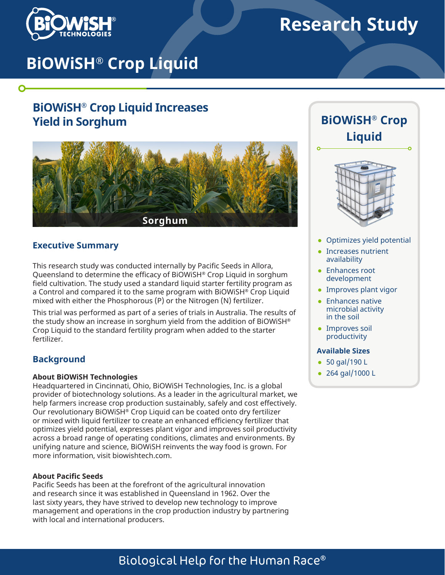

 $\mathbf O$ 

# **Research Study**

# **BiOWiSH® Crop Liquid**

# **BiOWiSH® Crop Liquid Increases Yield in Sorghum**



### **Executive Summary**

This research study was conducted internally by Pacific Seeds in Allora, Queensland to determine the efficacy of BiOWiSH® Crop Liquid in sorghum field cultivation. The study used a standard liquid starter fertility program as a Control and compared it to the same program with BiOWiSH® Crop Liquid mixed with either the Phosphorous (P) or the Nitrogen (N) fertilizer.

This trial was performed as part of a series of trials in Australia. The results of the study show an increase in sorghum yield from the addition of BiOWiSH® Crop Liquid to the standard fertility program when added to the starter fertilizer.

## **Background**

#### **About BiOWiSH Technologies**

Headquartered in Cincinnati, Ohio, BiOWiSH Technologies, Inc. is a global provider of biotechnology solutions. As a leader in the agricultural market, we help farmers increase crop production sustainably, safely and cost effectively. Our revolutionary BiOWiSH® Crop Liquid can be coated onto dry fertilizer or mixed with liquid fertilizer to create an enhanced efficiency fertilizer that optimizes yield potential, expresses plant vigor and improves soil productivity across a broad range of operating conditions, climates and environments. By unifying nature and science, BiOWiSH reinvents the way food is grown. For more information, visit biowishtech.com.

#### **About Pacific Seeds**

Pacific Seeds has been at the forefront of the agricultural innovation and research since it was established in Queensland in 1962. Over the last sixty years, they have strived to develop new technology to improve management and operations in the crop production industry by partnering with local and international producers.





- Optimizes yield potential
- Increases nutrient availability
- Enhances root development
- Improves plant vigor
- Enhances native microbial activity in the soil
- Improves soil productivity

#### **Available Sizes**

- 50 gal/190 L
- 264 gal/1000 L

# Biological Help for the Human Race®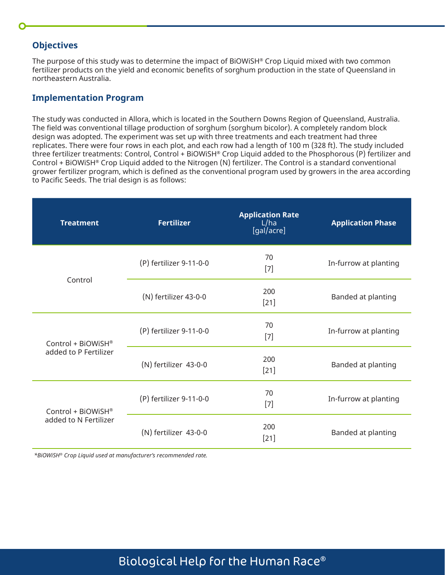## **Objectives**

The purpose of this study was to determine the impact of BiOWiSH® Crop Liquid mixed with two common fertilizer products on the yield and economic benefits of sorghum production in the state of Queensland in northeastern Australia.

#### **Implementation Program**

The study was conducted in Allora, which is located in the Southern Downs Region of Queensland, Australia. The field was conventional tillage production of sorghum (sorghum bicolor). A completely random block design was adopted. The experiment was set up with three treatments and each treatment had three replicates. There were four rows in each plot, and each row had a length of 100 m (328 ft). The study included three fertilizer treatments: Control, Control + BiOWiSH® Crop Liquid added to the Phosphorous (P) fertilizer and Control + BiOWiSH® Crop Liquid added to the Nitrogen (N) fertilizer. The Control is a standard conventional grower fertilizer program, which is defined as the conventional program used by growers in the area according to Pacific Seeds. The trial design is as follows:

| <b>Treatment</b>                            | <b>Fertilizer</b>                      | <b>Application Rate</b><br>L/ha<br>[gal/acre] | <b>Application Phase</b> |  |
|---------------------------------------------|----------------------------------------|-----------------------------------------------|--------------------------|--|
| Control                                     | (P) fertilizer 9-11-0-0                | 70<br>$[7]$                                   | In-furrow at planting    |  |
|                                             | 200<br>(N) fertilizer 43-0-0<br>$[21]$ |                                               | Banded at planting       |  |
| Control + BiOWiSH®<br>added to P Fertilizer | 70<br>(P) fertilizer 9-11-0-0<br>$[7]$ |                                               | In-furrow at planting    |  |
|                                             | (N) fertilizer 43-0-0                  | 200<br>$[21]$                                 | Banded at planting       |  |
| Control + BiOWiSH®<br>added to N Fertilizer | (P) fertilizer 9-11-0-0                | 70<br>$[7]$                                   | In-furrow at planting    |  |
|                                             | (N) fertilizer 43-0-0                  | 200<br>$[21]$                                 | Banded at planting       |  |

*\*BiOWiSH® Crop Liquid used at manufacturer's recommended rate.* 

# Biological Help for the Human Race®